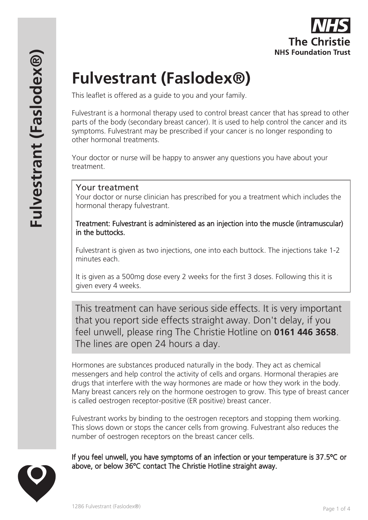

# **Fulvestrant (Faslodex®)**

This leaflet is offered as a guide to you and your family.

Fulvestrant is a hormonal therapy used to control breast cancer that has spread to other parts of the body (secondary breast cancer). It is used to help control the cancer and its symptoms. Fulvestrant may be prescribed if your cancer is no longer responding to other hormonal treatments.

Your doctor or nurse will be happy to answer any questions you have about your treatment.

## Your treatment

Your doctor or nurse clinician has prescribed for you a treatment which includes the hormonal therapy fulvestrant.

Treatment: Fulvestrant is administered as an injection into the muscle (intramuscular) in the buttocks.

Fulvestrant is given as two injections, one into each buttock. The injections take 1-2 minutes each.

It is given as a 500mg dose every 2 weeks for the first 3 doses. Following this it is given every 4 weeks.

This treatment can have serious side effects. It is very important that you report side effects straight away. Don't delay, if you feel unwell, please ring The Christie Hotline on **0161 446 3658**. The lines are open 24 hours a day.

Hormones are substances produced naturally in the body. They act as chemical messengers and help control the activity of cells and organs. Hormonal therapies are drugs that interfere with the way hormones are made or how they work in the body. Many breast cancers rely on the hormone oestrogen to grow. This type of breast cancer is called oestrogen receptor-positive (ER positive) breast cancer.

Fulvestrant works by binding to the oestrogen receptors and stopping them working. This slows down or stops the cancer cells from growing. Fulvestrant also reduces the number of oestrogen receptors on the breast cancer cells.

If you feel unwell, you have symptoms of an infection or your temperature is 37.5 °C or above, or below 36°C contact The Christie Hotline straight away.

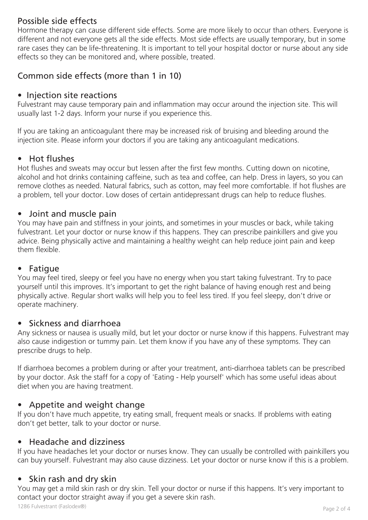## Possible side effects

Hormone therapy can cause different side effects. Some are more likely to occur than others. Everyone is different and not everyone gets all the side effects. Most side effects are usually temporary, but in some rare cases they can be life-threatening. It is important to tell your hospital doctor or nurse about any side effects so they can be monitored and, where possible, treated.

## Common side effects (more than 1 in 10)

## • Injection site reactions

Fulvestrant may cause temporary pain and inflammation may occur around the injection site. This will usually last 1-2 days. Inform your nurse if you experience this.

If you are taking an anticoagulant there may be increased risk of bruising and bleeding around the injection site. Please inform your doctors if you are taking any anticoagulant medications.

## • Hot flushes

Hot flushes and sweats may occur but lessen after the first few months. Cutting down on nicotine, alcohol and hot drinks containing caffeine, such as tea and coffee, can help. Dress in layers, so you can remove clothes as needed. Natural fabrics, such as cotton, may feel more comfortable. If hot flushes are a problem, tell your doctor. Low doses of certain antidepressant drugs can help to reduce flushes.

#### • Joint and muscle pain

You may have pain and stiffness in your joints, and sometimes in your muscles or back, while taking fulvestrant. Let your doctor or nurse know if this happens. They can prescribe painkillers and give you advice. Being physically active and maintaining a healthy weight can help reduce joint pain and keep them flexible.

#### • Fatigue

You may feel tired, sleepy or feel you have no energy when you start taking fulvestrant. Try to pace yourself until this improves. It's important to get the right balance of having enough rest and being physically active. Regular short walks will help you to feel less tired. If you feel sleepy, don't drive or operate machinery.

#### • Sickness and diarrhoea

Any sickness or nausea is usually mild, but let your doctor or nurse know if this happens. Fulvestrant may also cause indigestion or tummy pain. Let them know if you have any of these symptoms. They can prescribe drugs to help.

If diarrhoea becomes a problem during or after your treatment, anti-diarrhoea tablets can be prescribed by your doctor. Ask the staff for a copy of 'Eating - Help yourself' which has some useful ideas about diet when you are having treatment.

#### • Appetite and weight change

If you don't have much appetite, try eating small, frequent meals or snacks. If problems with eating don't get better, talk to your doctor or nurse.

#### • Headache and dizziness

If you have headaches let your doctor or nurses know. They can usually be controlled with painkillers you can buy yourself. Fulvestrant may also cause dizziness. Let your doctor or nurse know if this is a problem.

#### • Skin rash and dry skin

You may get a mild skin rash or dry skin. Tell your doctor or nurse if this happens. It's very important to contact your doctor straight away if you get a severe skin rash.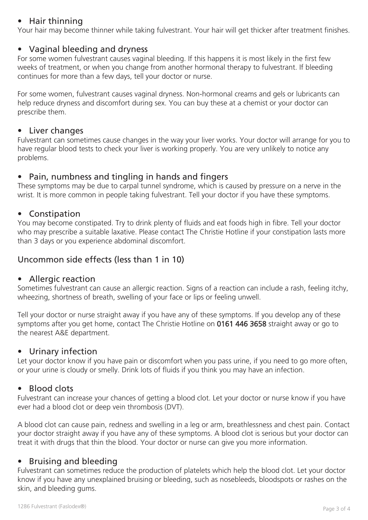## • Hair thinning

Your hair may become thinner while taking fulvestrant. Your hair will get thicker after treatment finishes.

#### • Vaginal bleeding and dryness

For some women fulvestrant causes vaginal bleeding. If this happens it is most likely in the first few weeks of treatment, or when you change from another hormonal therapy to fulvestrant. If bleeding continues for more than a few days, tell your doctor or nurse.

For some women, fulvestrant causes vaginal dryness. Non-hormonal creams and gels or lubricants can help reduce dryness and discomfort during sex. You can buy these at a chemist or your doctor can prescribe them.

#### • Liver changes

Fulvestrant can sometimes cause changes in the way your liver works. Your doctor will arrange for you to have regular blood tests to check your liver is working properly. You are very unlikely to notice any problems.

## • Pain, numbness and tingling in hands and fingers

These symptoms may be due to carpal tunnel syndrome, which is caused by pressure on a nerve in the wrist. It is more common in people taking fulvestrant. Tell your doctor if you have these symptoms.

#### • Constipation

You may become constipated. Try to drink plenty of fluids and eat foods high in fibre. Tell your doctor who may prescribe a suitable laxative. Please contact The Christie Hotline if your constipation lasts more than 3 days or you experience abdominal discomfort.

## Uncommon side effects (less than 1 in 10)

#### • Allergic reaction

Sometimes fulvestrant can cause an allergic reaction. Signs of a reaction can include a rash, feeling itchy, wheezing, shortness of breath, swelling of your face or lips or feeling unwell.

Tell your doctor or nurse straight away if you have any of these symptoms. If you develop any of these symptoms after you get home, contact The Christie Hotline on 0161 446 3658 straight away or go to the nearest A&E department.

#### • Urinary infection

Let your doctor know if you have pain or discomfort when you pass urine, if you need to go more often, or your urine is cloudy or smelly. Drink lots of fluids if you think you may have an infection.

#### • Blood clots

Fulvestrant can increase your chances of getting a blood clot. Let your doctor or nurse know if you have ever had a blood clot or deep vein thrombosis (DVT).

A blood clot can cause pain, redness and swelling in a leg or arm, breathlessness and chest pain. Contact your doctor straight away if you have any of these symptoms. A blood clot is serious but your doctor can treat it with drugs that thin the blood. Your doctor or nurse can give you more information.

#### • Bruising and bleeding

Fulvestrant can sometimes reduce the production of platelets which help the blood clot. Let your doctor know if you have any unexplained bruising or bleeding, such as nosebleeds, bloodspots or rashes on the skin, and bleeding gums.